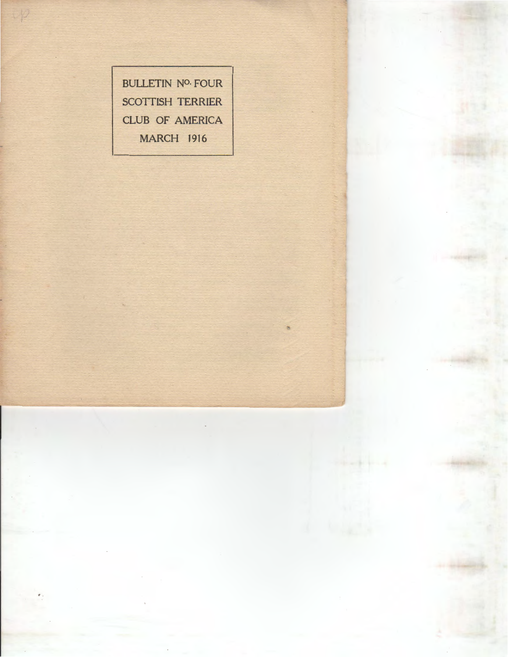BULLETIN NO. FOUR SCOTTISH TERRIER CLUB OF AMERICA MARCH 1916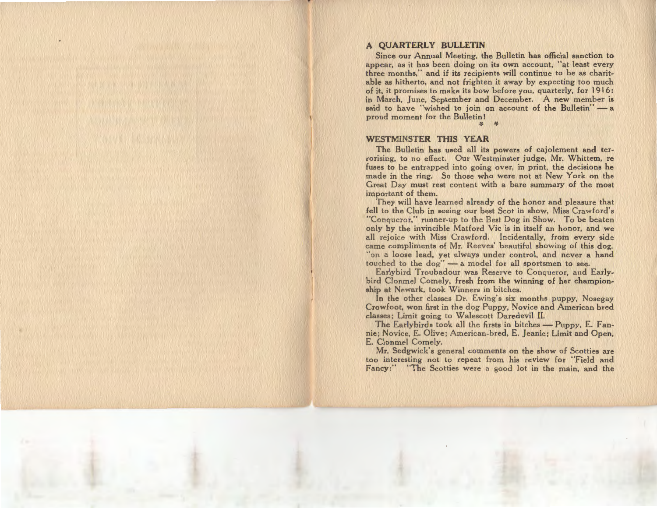# **A QUARTERLY BULLETIN**

Since our Annual Meeting, the Bulletin has official sanction to appear, as it has been doing on its own account, "at least every three months," and if its recipients will continue to be as charitable as hitherto, and not frighten it away by expecting too much of it, it promises to make its bow before you, quarterly, for 1916: in March, June, September and December. A new member is said to have "wished to join on account of the Bulletin" - a proud moment for the Bulletin I

'f. ¥-

### WESTMINSTER **THIS YEAR**

The Bulletin has used all its powers of cajolement and terrorising, to no effect. Our Westminster judge, Mr. Whittem, re fuses to be entrapped into going over, in print, the decisions he made in the ring. So those who were not at New York on the Great Day must rest content with a bare summary of the most important of them.

They will have learned already of the honor and pleasure that fell to the Club in seeing our best Scot in show, Miss Crawford's "Conqueror," runner-up to the Best Dog in Show. To be beaten only by the invincible Matford Vic is in itself an honor, and we all rejoice with Miss Crawford. Incidentally, from every side came compliments of Mr. Reeves' beautiful showing of this dog, "on a loose lead, yet always under control, and never a hand touched to the dog" - a model for all sportsmen to see.

Earlybird Troubadour was Reserve to Conqueror, and Earlybird Clonmel Comely, fresh from the winning of her championship at Newark, took Winners in bitches.

In the other classes Dr. Ewing's six months puppy, Nosegay Crowfoot, won first in the dog Puppy, Novice and American bred classes; Limit going to W alescott Daredevil II.

The Earlybirds took all the firsts in bitches - Puppy, E. Fannie; Novice, E. Olive; American-bred, E. Jeanie; Limit and Open, E. Clonmel Comely.

Mr. Sedgwick's general comments on the show of Scotties are too interesting not to repeat from his review for "Field and Fancy:" "The Scotties were a good lot in the main, and the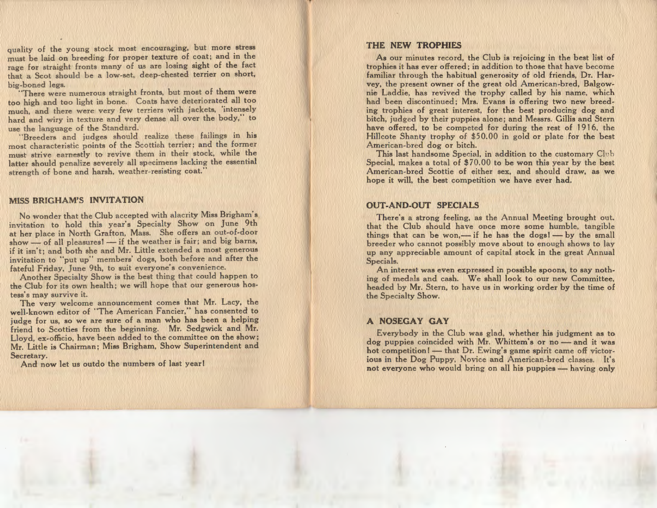quality of the young stock most encouraging, but more stress must be laid on breeding for proper texture of coat; and in the rage for straight fronts many of us are losing sight of the fact that a Scot should be a low-set, deep-chested terrier on short, big-boned legs.

"There were numerous straight fronts, but most of them were too high and too light in bone. Coats have deteriorated all too much, and there were very few terriers with jackets, 'intensely hard and wiry in texture and very dense all over the body," to use the language of the Standard.

"Breeders and judges should realize these failings in his most characteristic points of the Scottish terrier; and the former must strive earnestly to revive them in their stock, while the latter should penalize severely all specimens lacking the essential strength of bone and harsh, weather-resisting coat."

#### MISS BRIGHAM'S INVITATION

No wonder that the Club accepted with alacrity Miss Brigham's invitation to hold this year's Specialty Show on June 9th at her place in North Grafton, Mass. She offers an out-of-door show — of all pleasures! — if the weather is fair; and big barns, if it isn't; and both she and Mr. Little extended a most generous invitation to "put up" members' dogs, both before and after the fateful Friday, June 9th, to suit everyone's convenience.

Another Specialty Show is the best thing that could happen to the Club for its own health; we will hope that our generous hostess's may survive it.

The very welcome announcement comes that Mr. Lacy, the well-known editor of "The American Fancier," has consented to judge for us, so we are sure of a man who has been a helping friend to Scotties from the beginning. Mr. Sedgwick and Mr. Lloyd, ex-officio, have been added to the committee on the show; Mr. Little is Chairman; Miss Brigham, Show Superintendent and Secretary.

And now let us outdo the numbers of last year!

### THE NEW TROPHIES

As our minutes record, the Club is rejoicing in the best list of trophies it has ever offered; in addition to those that have become familiar through the habitual generosity of old friends, Dr. Harvey, the present owner of the great old American-bred, Balgownie Laddie, has revived the trophy called by his name, which had been discontinued; Mrs. Evans is offering two new breeding trophies of great interest, for the best producing dog and bitch, judged by their puppies alone; and Messrs. Gillis and Stern have offered, to be competed for during the rest of 1916, the Hillcote Shanty trophy of \$50.00 in gold or plate for the best American-bred dog or bitch.

This last handsome Special, in addition to the customary Club Special, makes a total of \$70.00 to be won this year by the best American-bred Scottie of either sex, and should draw, as we hope it will, the best competition we have ever had.

# OUT-AND-OUT SPECIALS

There's a strong feeling, as the Annual Meeting brought out. that the Club should have once more some humble, tangible things that can be won,— if he has the dogs! — by the small breeder who cannot possibly move about to enough shows to lay up any appreciable amount of capital stock in the great Annual Specials.

An interest was even expressed in possible spoons, to say nothing of medals and cash. We shall look to our new Committee, headed by Mr. Stern, to have us in working order by the time of the Specialty Show.

## A NOSEGAY GAY

Everybody in the Club was glad, whether his judgment as to dog puppies coincided with Mr. Whittem's or no - and it was hot competition I - that Dr. Ewing's game spirit came off victorious in the Dog Puppy, Novice and American-bred classes. It's not everyone who would bring on all his puppies - having only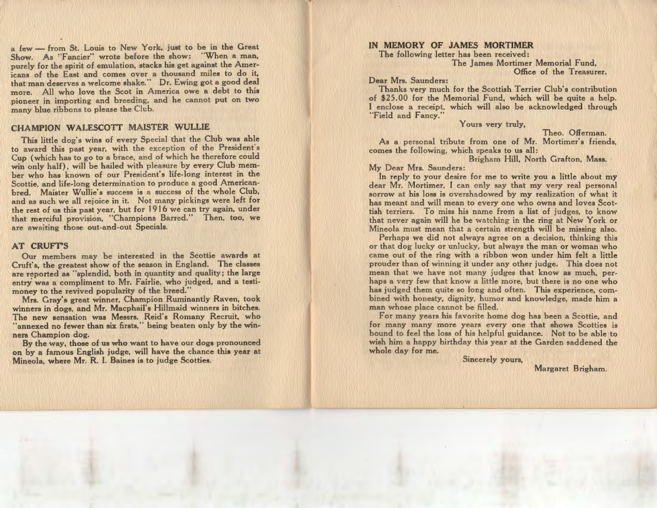a few - from St. Louis to New York, just to be in the Great Show. As "Fancier" wrote before the show: "When a man, purely for the spirit of emulation, stacks his get against the Americans of the East and comes over a thousand miles to do it, that man deserves a welcome shake." Dr. Ewing got a good deal more. All who love the Scot in America owe a debt to this pioneer in importing and breeding, and he cannot put on two many blue ribbons to please the Club.

#### CHAMPION WALESCOTT MAISTER WULLIE

This little dog's wins of every Special that the Club was able to award this past year, with the exception of the President's Cup (which has to go to a brace, and qf which he therefore could win only half), will be hailed with pleasure by every Club member who has known of our President's life-long interest in the Scottie, and life-long determination to produce a good Americanbred. Maister Wullie's success is a success of the whole Club, and as such we all rejoice in it. Not many pickings were left for the rest of us this past year, but for 1916 we can try again, under that merciful provision, "Champions Barred." Then, too, we are awaiting those out-and-out Specials.

## AT CRUFT'S

Our members may be interested in the Scottie awards at Cruft's, the greatest show of the season in England. The classes are reported as "splendid, both in quantity and quality; the large entry was a compliment to Mr. Fairlie, who judged, and a testimoney to the revived popularity of the breed."

Mrs. Gray's great winner, Champion Ruminantly Raven, took winners in dogs, and Mr. Macphail's Hillmaid winners in bitches. The new sensation was Messrs. Reid's Romany Recruit, who "annexed no fewer than six firsts," being beaten only by the winners Champion dog.

By the way, those of us who want to have our dogs pronounced on by a famous English judge, will have the chance this year at Mineola, where Mr. R. I. Baines is to judge Scotties.

### IN MEMORY OF JAMES MORTIMER

The following letter has been received: The James Mortimer Memorial Fund, Office of the Treasurer.

Dear Mrs. Saunders:

Thanks very much for the Scottish Terrier Club's contribution of \$25.00 for the Memorial Fund, which will be quite a help. I enclose a receipt, which will also be acknowledged through "Field and Fancy."

Yours very truly,

Theo. Offerman.

As a personal tribute from one of Mr. Mortimer's friends, comes the following, which speaks to us all:

Brigham Hill, North Grafton, Mass.

## My Dear Mrs. Saunders:

In reply to your desire for me to write you a little about my dear Mr. Mortimer, I can only say that my very real personal sorrow at his loss is overshadowed by my realization of what it has meant and will mean to every one who owns and loves Scottish terriers. To miss his name from a list of judges, to know that never again will he be watching in the ring at New York or Mineola must mean that a certain strength will be missing also.

Perhaps we did not always agree on a decision, thinking this or that dog lucky or unlucky, but always the man or woman who came out of the ring with a ribbon won under him felt a little prouder than of winning it under any other judge. This does not mean that we have not many judges that know as much, perhaps a very few that know a little more, but there is no one who has judged them quite so long and often. This experience, combined with honesty, dignity, humor and knowledge, made him a man whose place cannot be filled.

For many years his favorite home dog has been a Scottie, and for many many more years every one that shows Scotties is bound to feel the loss of his helpful guidance. Not to be able to wish him a happy birthday this year at the Garden saddened the whole day for me.

Sincerely yours,

Margaret Brigham.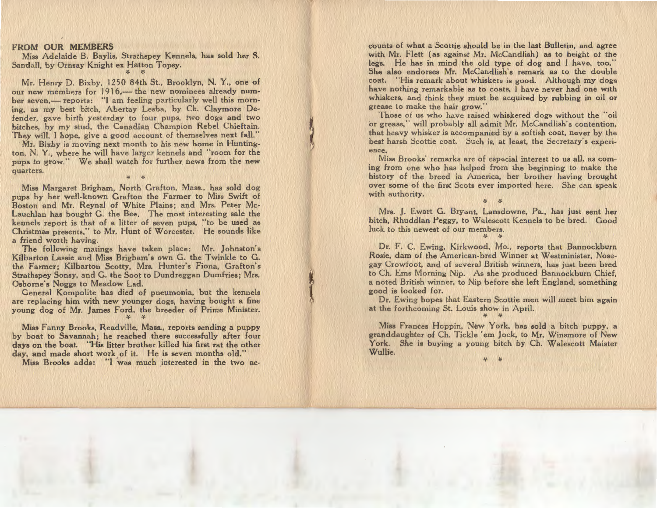#### FROM OUR MEMBERS

Miss Adelaide B. Baylis, Strathspey Kennels, has sold her S. Sandall, by Ornsay Knight ex Hatton Topsy. *'1-*

*'1-*

Mr. Henry D. Bixby, 1250 84th St., Brooklyn, N. Y., one of our new members for 1916.— the new nominees already number seven,— reports: "I am feeling particularly well this morning, as my best bitch, Abertay Lesba, by Ch. Claymore Defender, gave birth yesterday to four pups, two dogs and two bitches, by my stud, the Canadian Champion Rebel Chieftain. They will, I hope, give a good account of themselves next fall."

Mr. Bixby is moving next month to his new home in Huntington, N. Y., where he will have larger kennels and "room for the pups to grow." We shall watch for further news from the new quarters.

,..

Miss Margaret Brigham, North Grafton, Mass., has sold dog pups by her well-known Grafton the Farmer to Miss Swift of Boston and Mr. Reynal of White Plains; and Mrs. Peter Mc-Lauchlan has bought G. the Bee. The most interesting sale the kennels report is that of a litter of seven pups, "to be used as Christmas presents," to Mr. Hunt of Worcester. He sounds like a friend worth having.

The following matings have taken place: Mr. Johnston's Kilbarton Lassie and Miss Brigham's own G. the Twinkle to G. the Farmer; Kilbarton Scotty, Mrs. Hunter's Fiona, Grafton's Strathspey Sonsy, and G. the Soot to Dundreggan Dumfries; Mrs. Osborne's Noggs to Meadow Lad.

General Kompolite has died of pneumonia, but the kennels are replacing him with new younger dogs, having bought a fine young dog of Mr. James Ford, the breeder of Prime Minister. *'1-*>/.

Miss Fanny Brooks, Readville, Mass., reports sending a puppy by boat to Savannah; he reached there successfully after four days on the boat. "His litter brother killed his first rat the other day, and made short work of it. He is seven months old."

Miss Brooks adds: "I was much interested in the two ac-

counts of what a Scottie should be in the last Bulletin, and agree<br>with Mr. Flett (as against Mr. McCandlish) as to height of the<br>legs. He has in mind the old type of dog and I have, too."<br>She also endorses Mr. McCandlish'

ence. Miss Brooks' remarks are of especial interest to us all, as com-

ing from one who has helped from the beginning to make the history of the breed in America, her brother having brought over some of the first Scots ever imported here. She can speak with authority.

*'1-'1-*

Mrs. J. Ewart G. Bryant, Lansdowne, Pa., has just sent her bitch, Rhuddlan Peggy, to Walescott Kennels to be bred. Good luck to this newest of our members.

*:{. 'l-*

Or. F. C. Ewing, Kirkwood, Mo., reports that Bannockburn Rosie, dam of the American-bred Winner at Westminister, Nose gay Crowfoot, and of several British winners, has just been bred<br>to Ch. Ems Morning Nip. As she produced Bannockburn Chief,<br>a noted British winner, to Nip before she left England, something<br>good is looked for.<br>Dr. Ewing ho

*'f.* >/.

Miss F ranees Hoppin, New York, has sold a bitch puppy, a granddaughter of Ch. Tickle 'em Jock, to Mr. Winsmore of New York. She is buying a young bitch by Ch. Walescott Maister Wullie.

'1-¥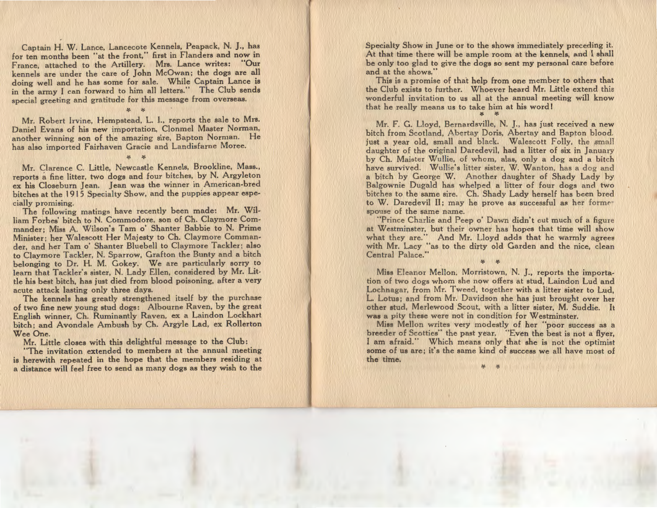Captain H. W. Lance, Lancecote Kennels, Peapack, N. J., has for ten months been "at the front," first in Flanders and now in France, attached to the Artillery. Mrs. Lance writes: "Our kennels are under the care of John McOwan; the dogs are all doing well and he has some for sale. While Captain Lance is in the army I can forward to him all letters." The Club sends special greeting and gratitude for this message from overseas.

Mr. Robert Irvine, Hempstead, L. 1., reports the sale to Mrs. Daniel Evans of his new importation, Clonmel Master Norman, another winning son of the amazing sire, Bapton Norman. He has also imported Fairhaven Gracie and Landisfarne Moree.

:(. *:(.* 

*1{.* ¥-

Mr. Clarence C. Little, Newcastle Kennels, Brookline, Mass., reports a fine litter, two dogs and four bitches, by N. Argyleton ex his Closeburn Jean. Jean was the winner in American-bred bitches at the 1915 Specialty Show, and the puppies appear especially promising.

The following matings have recently been made: Mr. William Forbes' bitch to N. Commodore, son of Ch. Claymore Commander; Miss A. Wilson's Tam o' Shanter Babbie to N. Prime Minister; her Walescott Her Majesty to Ch. Claymore Commander, and her Tam o' Shanter Bluebell to Claymore Tackler; also to Claymore Tackler, N. Sparrow, Grafton the Bunty and a bitch belonging to Dr. H. M. Gokey. We are particularly sorry to learn that Tackler's sister, N. Lady Ellen, considered by Mr. Little his best bitch, has just died from blood poisoning, after a very acute attack lasting only three days.

The kennels has greatly strengthened itself by the purchase of two fine new young stud dogs: Albourne Raven, by the great English winner, Ch. Ruminantly Raven, ex a Laindon Lockhart bitch; and Avondale Ambush by Ch. Argyle Lad, ex Rollerton Wee One.

Mr. Little closes with this delightful message to the Club:

"The invitation extended to members at the annual meeting is herewith repeated in the hope that the members residing at a distance will feel free to send as many dogs as they wish to the Specialty Show in June or to the shows immediately preceding it. At that time there will be ample room at the kennels, and I shall be only too glad to give the dogs so sent my personal care before and at the shows."

 This is a promise of that help from one member to others that the Club exists to further. Whoever heard Mr. Little extend this wonderful invitation to us all at the annual meeting will know that he really means us to take him at his word I

 $\ddot{\bm{\tau}}$  and  $\ddot{\bm{\tau}}$ 

Mr. F. G. Lloyd, Bernardsville, N. J., has just received a new bitch from Scotland, Abertay Doris, Abertay and Bapton blood. just a year old, small and black. Walescott Folly, the small daughter of the original Daredevil, had a litter of six in January by Ch. Maister Wullie, of whom, alas, only a dog and a bitch have survived. Wullie's litter sister, W. Wanton, has a dog and a bitch by George W. Another daughter of Shady Lady by Balgownie Dugald has whelped a litter of four dogs and two bitches to the same sire. Ch. Shady Lady herself has been bred to W. Daredevil II; may he prove as successful as her former spouse of the same name.

"Prince Charlie and Peep o' Dawn didn't cut much of a figure at Westminster, but their owner has hopes that time will show what they are. And Mr. Lloyd adds that he warmly agrees with Mr. Lacy as to the dirty old Garden and the nice, clean Central Palace.

 $\mathcal{F}$   $\mathcal{F}$ 

Miss Eleanor Mellon, Morristown, N. *].,* reports the importation of two dogs whom she now offers at stud, Laindon Lud and Lochnagar, from Mr. Tweed, together with a litter sister to Lud, L. Lotus; and from Mr. Davidson she has just brought over her other stud, Merlewood Scout, with a litter sister, M. Suddie. It was a pity these were not in condition for Westminster.

Miss Mellon writes very modestly of her "poor success as a breeder of Scotties" the past year. "Even the best is not a flyer, I am afraid." Which means only that she is not the optimist some of us are; it's the same kind of success we all have most of the time.

·"'fo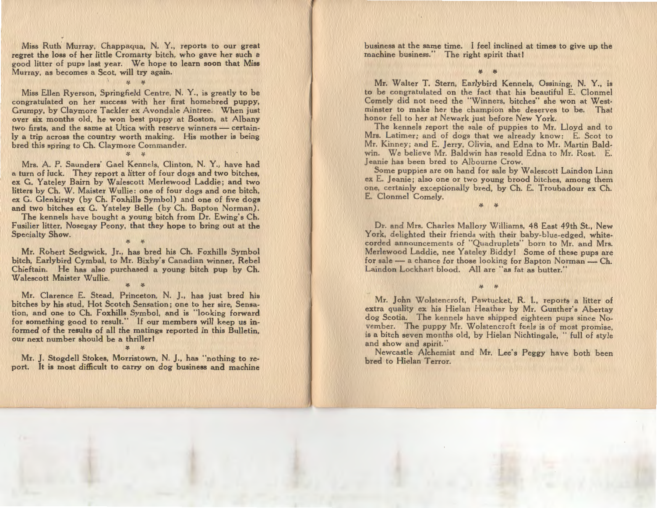Miss Ruth Murray, Chappaqua, N. Y., reports to our great regret the loss of her little Cromarty bitch, who gave her such a good litter of pups last year. We hope to learn soon that Miss Murray, as becomes a Scot, will try again.

'f. *'f.* 

Miss Ellen Ryerson, Springfield Centre, N. Y., is greatly to be congratulated on her success with her first homebred puppy, Grumpy, by Claymore Tackler ex Avondale Aintree. When just over six months old, he won best puppy at Boston, at Albany two firsts, and the same at Utica with reserve winners - certainly a trip across the country worth making. His mother is being bred this spring- to Ch. Claymore Commander.

 *'(.*  Mrs. A. P. Saunders' Gael Kennels, Clinton, N. Y., have had a turn of luck. They report a litter of four dogs and two bitches, ex G. Y ateley Bairn by Walescott Merlewood Laddie; and two litters by Ch. W. Maister Wullie: one of four dogs and one bitch, ex G. Glenkirsty (by Ch. Foxhills Symbol) and one of five dogs and two bitches ex G. Yateley Belle (by Ch. Bapton Norman).

*11-*

The kennels have bought a young bitch from Dr. Ewing's Ch. Fusilier litter, Nosegay Peony, that they hope to bring out at the Specialty Show.

'f. :;.

Mr. Robert Sedgwick, Jr., has bred his Ch. Foxhills Symbol bitch, Earlybird Cymbal, to Mr. Bixby's Canadian winner, Rebel Chieftain. He has also purchased a young bitch pup by Ch. Walescott Maister Wullie.

*'f.* ,.

Mr. Clarence E. Stead, Princeton, N. *].,* has just bred his bitches by his stud, Hot Scotch Sensation; one to her sire, Sensation, and one to Ch. Foxhills Symbol, and is "looking forward for something good to result." If our members will keep us informed of the results of all the matings reported in this Bulletin, our next number should be a thriller!

 $\cdot$   $\cdot$   $\cdot$ 

Mr. *].* Stogdell Stokes, Morristown, N. *].,* has "nothing to report. It is most difficult to carry on dog business and machine business at the same time. I feel inclined at times to give up the machine business." The right spirit that!

> *'1-***1-1-1-1-1-1-1**

Mr. Walter T. Stern, Earlybird Kennels, Ossining, N. Y., is to be congratulated on the fact that his beautiful E. Clonmel Comely did not need the "Winners, bitches" she won at West· minster to make her the champion she deserves to be. That honor fell to her at Newark just before New York.

The kennels report the sale of puppies to Mr. Lloyd and to Mrs. Latimer; and of dogs that we already know: E. Scot to Mr. Kinney ; and E. Jerry, Olivia, and Edna to Mr. Martin Baldwin. We believe Mr. Baldwin has resold Edna to Mr. Rost. E. Jeanie has been bred to Alboume Crow.

Some puppies are on hand for sale by Walescott Laindon Linn *ex* E. Jeanie; also one or two young brood bitches, among them one, certainly exceptionally bred, by Ch. E. Troubadour ex Ch. E. Clonmel Comely.

> *'1-'1-*

Dr. and Mrs. Charles Mallory Williams, 48 East 49th St., New York, delighted their friends with their baby-blue-edged, white· corded announcements of "Quadruplets" born to Mr. and Mrs. Merlewood Laddie, nee Y ateley Biddy I Some of these pups are for sale  $-$  a chance for those looking for Bapton Norman $-$  Ch. Laindon Lockhart blood. All are "as fat as butter."

Mr. John Wolstencroft, Pawtucket, R. I., reports a litter of extra quality ex his Hielan Heather by Mr. Gunther's Abertay dog Scotia. The kennels have shipped eighteen pups since November. The puppy Mr. Wolstencroft feels is of most promise, is a bitch seven months old, by Hielan Nichtingale, " full of style and show and spirit."

*'f. 'f.* 

Newcastle Alchemist and Mr. Lee's Peggy have both been bred to Hielan Terror.